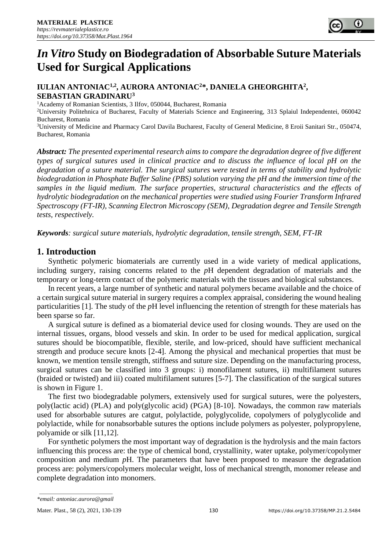# *In Vitro* **Study on Biodegradation of Absorbable Suture Materials Used for Surgical Applications**

# **IULIAN ANTONIAC1,2, AURORA ANTONIAC<sup>2</sup>\*, DANIELA GHEORGHITA<sup>2</sup> , SEBASTIAN GRADINARU<sup>3</sup>**

<sup>1</sup> Academy of Romanian Scientists, 3 Ilfov, 050044, Bucharest, Romania

<sup>2</sup>University Politehnica of Bucharest, Faculty of Materials Science and Engineering, 313 Splaiul Independentei, 060042 Bucharest, Romania

<sup>3</sup>University of Medicine and Pharmacy Carol Davila Bucharest, Faculty of General Medicine, 8 Eroii Sanitari Str., 050474, Bucharest, Romania

*Abstract: The presented experimental research aims to compare the degradation degree of five different types of surgical sutures used in clinical practice and to discuss the influence of local pH on the degradation of a suture material. The surgical sutures were tested in terms of stability and hydrolytic biodegradation in Phosphate Buffer Saline (PBS) solution varying the pH and the immersion time of the samples in the liquid medium. The surface properties, structural characteristics and the effects of hydrolytic biodegradation on the mechanical properties were studied using Fourier Transform Infrared Spectroscopy (FT-IR), Scanning Electron Microscopy (SEM), Degradation degree and Tensile Strength tests, respectively.*

*Keywords: surgical suture materials, hydrolytic degradation, tensile strength, SEM, FT-IR*

# **1. Introduction**

Synthetic polymeric biomaterials are currently used in a wide variety of medical applications, including surgery, raising concerns related to the *p*H dependent degradation of materials and the temporary or long-term contact of the polymeric materials with the tissues and biological substances.

In recent years, a large number of synthetic and natural polymers became available and the choice of a certain surgical suture material in surgery requires a complex appraisal, considering the wound healing particularities [1]. The study of the *p*H level influencing the retention of strength for these materials has been sparse so far.

A surgical suture is defined as a biomaterial device used for closing wounds. They are used on the internal tissues, organs, blood vessels and skin. In order to be used for medical application, surgical sutures should be biocompatible, flexible, sterile, and low-priced, should have sufficient mechanical strength and produce secure knots [2-4]. Among the physical and mechanical properties that must be known, we mention tensile strength, stiffness and suture size. Depending on the manufacturing process, surgical sutures can be classified into 3 groups: i) monofilament sutures, ii) multifilament sutures (braided or twisted) and iii) coated multifilament sutures [5-7]. The classification of the surgical sutures is shown in Figure 1.

The first two biodegradable polymers, extensively used for surgical sutures, were the polyesters, poly(lactic acid) (PLA) and poly(glycolic acid) (PGA) [8-10]. Nowadays, the common raw materials used for absorbable sutures are catgut, polylactide, polyglycolide, copolymers of polyglycolide and polylactide, while for nonabsorbable sutures the options include polymers as polyester, polypropylene, polyamide or silk [11,12].

For synthetic polymers the most important way of degradation is the hydrolysis and the main factors influencing this process are: the type of chemical bond, crystallinity, water uptake, polymer/copolymer composition and medium *p*H. The parameters that have been proposed to measure the degradation process are: polymers/copolymers molecular weight, loss of mechanical strength, monomer release and complete degradation into monomers.

*<sup>\*</sup>email: antoniac.aurora@gmail*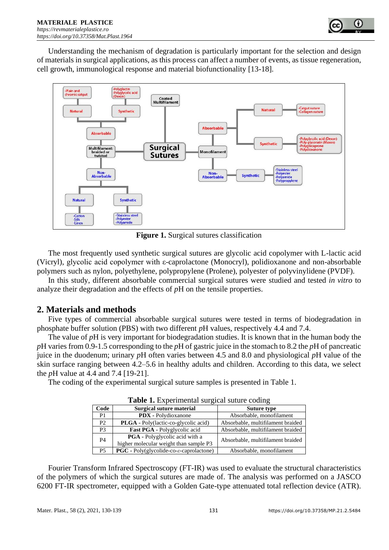

Understanding the mechanism of degradation is particularly important for the selection and design of materials in surgical applications, as this process can affect a number of events, as tissue regeneration, cell growth, immunological response and material biofunctionality [13-18].



**Figure 1.** Surgical sutures classification

The most frequently used synthetic surgical sutures are glycolic acid copolymer with L-lactic acid (Vicryl), glycolic acid copolymer with ε-caprolactone (Monocryl), polidioxanone and non-absorbable polymers such as nylon, polyethylene, polypropylene (Prolene), polyester of polyvinylidene (PVDF).

In this study, different absorbable commercial surgical sutures were studied and tested *in vitro* to analyze their degradation and the effects of *p*H on the tensile properties.

# **2. Materials and methods**

Five types of commercial absorbable surgical sutures were tested in terms of biodegradation in phosphate buffer solution (PBS) with two different *p*H values, respectively 4.4 and 7.4.

The value of *p*H is very important for biodegradation studies. It is known that in the human body the *p*H varies from 0.9-1.5 corresponding to the *p*H of gastric juice in the stomach to 8.2 the *p*H of pancreatic juice in the duodenum; urinary *p*H often varies between 4.5 and 8.0 and physiological *p*H value of the skin surface ranging between 4.2–5.6 in healthy adults and children. According to this data, we select the *p*H value at 4.4 and 7.4 [19-21].

The coding of the experimental surgical suture samples is presented in Table 1.

| <b>Table 1.</b> Experimental surgical suture coding |                                                                                 |                                   |
|-----------------------------------------------------|---------------------------------------------------------------------------------|-----------------------------------|
| Code                                                | Surgical suture material                                                        | Suture type                       |
| P <sub>1</sub>                                      | <b>PDX</b> - Polydioxanone                                                      | Absorbable, monofilament          |
| P2                                                  | <b>PLGA</b> - Poly(lactic-co-glycolic acid)                                     | Absorbable, multifilament braided |
| P <sub>3</sub>                                      | <b>Fast PGA</b> - Polyglycolic acid                                             | Absorbable, multifilament braided |
| P <sub>4</sub>                                      | <b>PGA</b> - Polyglycolic acid with a<br>higher molecular weight than sample P3 | Absorbable, multifilament braided |
| <b>P5</b>                                           | $PGC$ - Poly(glycolide-co- $\varepsilon$ -caprolactone)                         | Absorbable, monofilament          |

**Table 1.** Experimental surgical suture coding

Fourier Transform Infrared Spectroscopy (FT-IR) was used to evaluate the structural characteristics of the polymers of which the surgical sutures are made of. The analysis was performed on a JASCO 6200 FT-IR spectrometer, equipped with a Golden Gate-type attenuated total reflection device (ATR).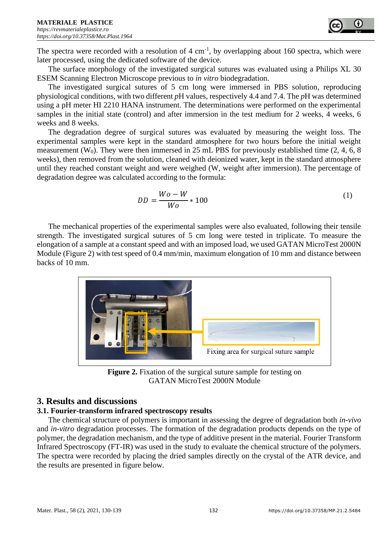The spectra were recorded with a resolution of  $4 \text{ cm}^{-1}$ , by overlapping about 160 spectra, which were later processed, using the dedicated software of the device.

The surface morphology of the investigated surgical sutures was evaluated using a Philips XL 30 ESEM Scanning Electron Microscope previous to *in vitro* biodegradation.

The investigated surgical sutures of 5 cm long were immersed in PBS solution, reproducing physiological conditions, with two different *p*H values, respectively 4.4 and 7.4. The *p*H was determined using a pH meter HI 2210 HANA instrument. The determinations were performed on the experimental samples in the initial state (control) and after immersion in the test medium for 2 weeks, 4 weeks, 6 weeks and 8 weeks.

The degradation degree of surgical sutures was evaluated by measuring the weight loss. The experimental samples were kept in the standard atmosphere for two hours before the initial weight measurement (W<sub>0</sub>). They were then immersed in 25 mL PBS for previously established time  $(2, 4, 6, 8)$ weeks), then removed from the solution, cleaned with deionized water, kept in the standard atmosphere until they reached constant weight and were weighed (W, weight after immersion). The percentage of degradation degree was calculated according to the formula:

$$
DD = \frac{Wo - W}{Wo} \times 100\tag{1}
$$

The mechanical properties of the experimental samples were also evaluated, following their tensile strength. The investigated surgical sutures of 5 cm long were tested in triplicate. To measure the elongation of a sample at a constant speed and with an imposed load, we used GATAN MicroTest 2000N Module (Figure 2) with test speed of 0.4 mm/min, maximum elongation of 10 mm and distance between backs of 10 mm.



**Figure 2.** Fixation of the surgical suture sample for testing on GATAN MicroTest 2000N Module

# **3. Results and discussions**

# **3.1. Fourier-transform infrared spectroscopy results**

The chemical structure of polymers is important in assessing the degree of degradation both *in-vivo* and *in-vitro* degradation processes. The formation of the degradation products depends on the type of polymer, the degradation mechanism, and the type of additive present in the material. Fourier Transform Infrared Spectroscopy (FT-IR) was used in the study to evaluate the chemical structure of the polymers. The spectra were recorded by placing the dried samples directly on the crystal of the ATR device, and the results are presented in figure below.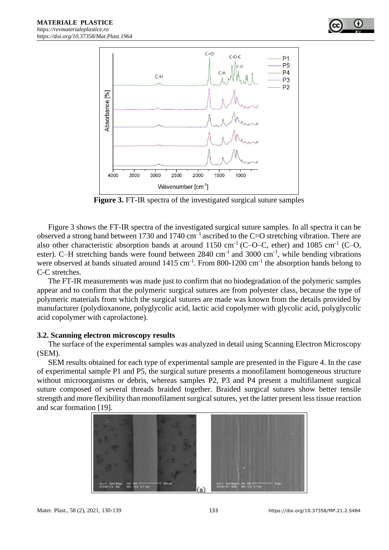



**Figure 3.** FT-IR spectra of the investigated surgical suture samples

Figure 3 shows the FT-IR spectra of the investigated surgical suture samples. In all spectra it can be observed a strong band between 1730 and 1740  $cm^{-1}$  ascribed to the C=O stretching vibration. There are also other characteristic absorption bands at around 1150 cm<sup>-1</sup> (C-O-C, ether) and 1085 cm<sup>-1</sup> (C-O, ester). C-H stretching bands were found between  $2840 \text{ cm}^{-1}$  and  $3000 \text{ cm}^{-1}$ , while bending vibrations were observed at bands situated around  $1415 \text{ cm}^{-1}$ . From 800-1200 cm<sup>-1</sup> the absorption bands belong to C-C stretches.

The FT-IR measurements was made just to confirm that no biodegradation of the polymeric samples appear and to confirm that the polymeric surgical sutures are from polyester class, because the type of polymeric materials from which the surgical sutures are made was known from the details provided by manufacturer (polydioxanone, polyglycolic acid, lactic acid copolymer with glycolic acid, polyglycolic acid copolymer with caprolactone).

#### **3.2. Scanning electron microscopy results**

The surface of the experimental samples was analyzed in detail using Scanning Electron Microscopy (SEM).

SEM results obtained for each type of experimental sample are presented in the Figure 4. In the case of experimental sample P1 and P5, the surgical suture presents a monofilament homogeneous structure without microorganisms or debris, whereas samples P2, P3 and P4 present a multifilament surgical suture composed of several threads braided together. Braided surgical sutures show better tensile strength and more flexibility than monofilament surgical sutures, yet the latter present less tissue reaction and scar formation [19].

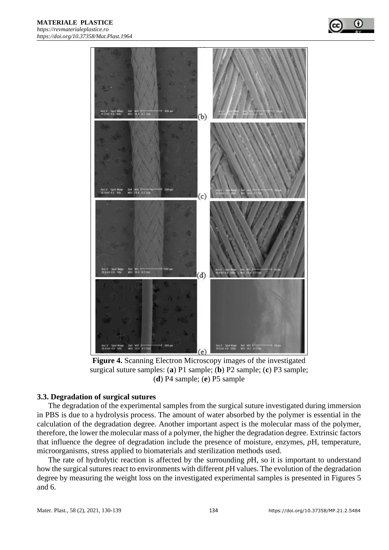



**Figure 4.** Scanning Electron Microscopy images of the investigated surgical suture samples: (**a**) P1 sample; (**b**) P2 sample; (**c**) P3 sample; (**d**) P4 sample; (**e**) P5 sample

#### **3.3. Degradation of surgical sutures**

The degradation of the experimental samples from the surgical suture investigated during immersion in PBS is due to a hydrolysis process. The amount of water absorbed by the polymer is essential in the calculation of the degradation degree. Another important aspect is the molecular mass of the polymer, therefore, the lower the molecular mass of a polymer, the higher the degradation degree. Extrinsic factors that influence the degree of degradation include the presence of moisture, enzymes, *p*H, temperature, microorganisms, stress applied to biomaterials and sterilization methods used.

The rate of hydrolytic reaction is affected by the surrounding *p*H, so it is important to understand how the surgical sutures react to environments with different *p*H values. The evolution of the degradation degree by measuring the weight loss on the investigated experimental samples is presented in Figures 5 and 6.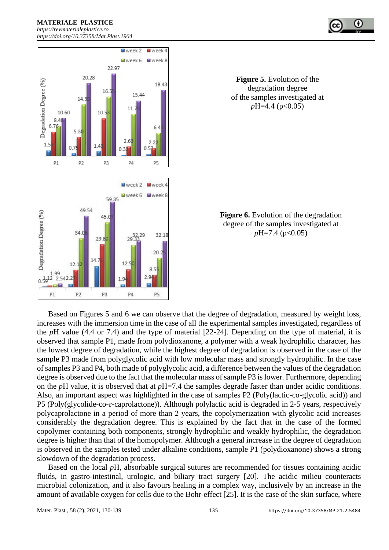



**Figure 5.** Evolution of the degradation degree of the samples investigated at *p*H=4.4 (*p*<0.05)

**Figure 6.** Evolution of the degradation degree of the samples investigated at *pH=7.4* (*p*<0.05)

Based on Figures 5 and 6 we can observe that the degree of degradation, measured by weight loss, increases with the immersion time in the case of all the experimental samples investigated, regardless of the *p*H value (4.4 or 7.4) and the type of material [22-24]. Depending on the type of material, it is observed that sample P1, made from polydioxanone, a polymer with a weak hydrophilic character, has the lowest degree of degradation, while the highest degree of degradation is observed in the case of the sample P3 made from polyglycolic acid with low molecular mass and strongly hydrophilic. In the case of samples P3 and P4, both made of polyglycolic acid, a difference between the values of the degradation degree is observed due to the fact that the molecular mass of sample P3 is lower. Furthermore, depending on the *p*H value, it is observed that at *p*H=7.4 the samples degrade faster than under acidic conditions. Also, an important aspect was highlighted in the case of samples P2 (Poly(lactic-co-glycolic acid)) and P5 (Poly(glycolide-co-*ε-*caprolactone)). Although polylactic acid is degraded in 2-5 years, respectively polycaprolactone in a period of more than 2 years, the copolymerization with glycolic acid increases considerably the degradation degree. This is explained by the fact that in the case of the formed copolymer containing both components, strongly hydrophilic and weakly hydrophilic, the degradation degree is higher than that of the homopolymer. Although a general increase in the degree of degradation is observed in the samples tested under alkaline conditions, sample P1 (polydioxanone) shows a strong slowdown of the degradation process.

Based on the local *p*H, absorbable surgical sutures are recommended for tissues containing acidic fluids, in gastro-intestinal, urologic, and biliary tract surgery [20]. The acidic milieu counteracts microbial colonization, and it also favours healing in a complex way, inclusively by an increase in the amount of available oxygen for cells due to the Bohr-effect [25]. It is the case of the skin surface, where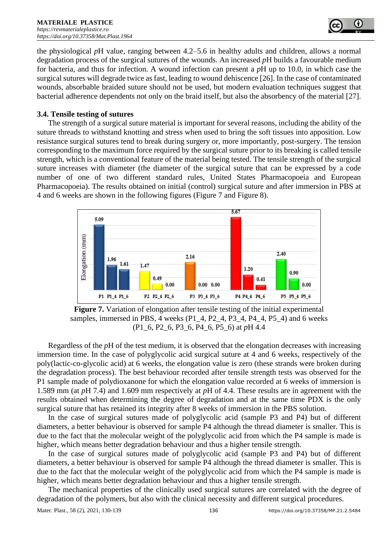

the physiological *p*H value, ranging between 4.2–5.6 in healthy adults and children, allows a normal degradation process of the surgical sutures of the wounds. An increased *p*H builds a favourable medium for bacteria, and thus for infection. A wound infection can present a *p*H up to 10.0, in which case the surgical sutures will degrade twice as fast, leading to wound dehiscence [26]. In the case of contaminated wounds, absorbable braided suture should not be used, but modern evaluation techniques suggest that bacterial adherence dependents not only on the braid itself, but also the absorbency of the material [27].

#### **3.4. Tensile testing of sutures**

The strength of a surgical suture material is important for several reasons, including the ability of the suture threads to withstand knotting and stress when used to bring the soft tissues into apposition. Low resistance surgical sutures tend to break during surgery or, more importantly, post-surgery. The tension corresponding to the maximum force required by the surgical suture prior to its breaking is called tensile strength, which is a conventional feature of the material being tested. The tensile strength of the surgical suture increases with diameter (the diameter of the surgical suture that can be expressed by a code number of one of two different standard rules, United States Pharmacopoeia and European Pharmacopoeia). The results obtained on initial (control) surgical suture and after immersion in PBS at 4 and 6 weeks are shown in the following figures (Figure 7 and Figure 8).



**Figure 7.** Variation of elongation after tensile testing of the initial experimental samples, immersed in PBS, 4 weeks (P1\_4, P2\_4, P3\_4, P4\_4, P5\_4) and 6 weeks (P1\_6, P2\_6, P3\_6, P4\_6, P5\_6) at *p*H 4.4

Regardless of the *p*H of the test medium, it is observed that the elongation decreases with increasing immersion time. In the case of polyglycolic acid surgical suture at 4 and 6 weeks, respectively of the poly(lactic-co-glycolic acid) at 6 weeks, the elongation value is zero (these strands were broken during the degradation process). The best behaviour recorded after tensile strength tests was observed for the P1 sample made of polydioxanone for which the elongation value recorded at 6 weeks of immersion is 1.589 mm (at *p*H 7.4) and 1.609 mm respectively at *p*H of 4.4. These results are in agreement with the results obtained when determining the degree of degradation and at the same time PDX is the only surgical suture that has retained its integrity after 8 weeks of immersion in the PBS solution.

In the case of surgical sutures made of polyglycolic acid (sample P3 and P4) but of different diameters, a better behaviour is observed for sample P4 although the thread diameter is smaller. This is due to the fact that the molecular weight of the polyglycolic acid from which the P4 sample is made is higher, which means better degradation behaviour and thus a higher tensile strength.

In the case of surgical sutures made of polyglycolic acid (sample P3 and P4) but of different diameters, a better behaviour is observed for sample P4 although the thread diameter is smaller. This is due to the fact that the molecular weight of the polyglycolic acid from which the P4 sample is made is higher, which means better degradation behaviour and thus a higher tensile strength.

The mechanical properties of the clinically used surgical sutures are correlated with the degree of degradation of the polymers, but also with the clinical necessity and different surgical procedures.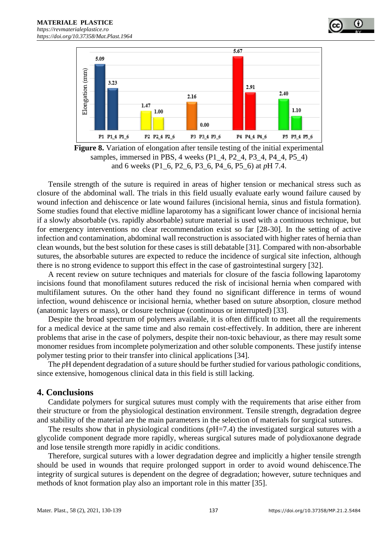

**Figure 8.** Variation of elongation after tensile testing of the initial experimental samples, immersed in PBS, 4 weeks (P1\_4, P2\_4, P3\_4, P4\_4, P5\_4) and 6 weeks (P1\_6, P2\_6, P3\_6, P4\_6, P5\_6) at *p*H 7.4.

Tensile strength of the suture is required in areas of higher tension or mechanical stress such as closure of the abdominal wall. The trials in this field usually evaluate early wound failure caused by wound infection and dehiscence or late wound failures (incisional hernia, sinus and fistula formation). Some studies found that elective midline laparotomy has a significant lower chance of incisional hernia if a slowly absorbable (vs. rapidly absorbable) suture material is used with a continuous technique, but for emergency interventions no clear recommendation exist so far [28-30]. In the setting of active infection and contamination, abdominal wall reconstruction is associated with higher rates of hernia than clean wounds, but the best solution for these cases is still debatable [31]. Compared with non-absorbable sutures, the absorbable sutures are expected to reduce the incidence of surgical site infection, although there is no strong evidence to support this effect in the case of gastrointestinal surgery [32].

A recent review on suture techniques and materials for closure of the fascia following laparotomy incisions found that monofilament sutures reduced the risk of incisional hernia when compared with multifilament sutures. On the other hand they found no significant difference in terms of wound infection, wound dehiscence or incisional hernia, whether based on suture absorption, closure method (anatomic layers or mass), or closure technique (continuous or interrupted) [33].

Despite the broad spectrum of polymers available, it is often difficult to meet all the requirements for a medical device at the same time and also remain cost-effectively. In addition, there are inherent problems that arise in the case of polymers, despite their non-toxic behaviour, as there may result some monomer residues from incomplete polymerization and other soluble components. These justify intense polymer testing prior to their transfer into clinical applications [34].

The *pH* dependent degradation of a suture should be further studied for various pathologic conditions, since extensive, homogenous clinical data in this field is still lacking.

#### **4. Conclusions**

Candidate polymers for surgical sutures must comply with the requirements that arise either from their structure or from the physiological destination environment. Tensile strength, degradation degree and stability of the material are the main parameters in the selection of materials for surgical sutures.

The results show that in physiological conditions ( $pH=7.4$ ) the investigated surgical sutures with a glycolide component degrade more rapidly, whereas surgical sutures made of polydioxanone degrade and lose tensile strength more rapidly in acidic conditions.

Therefore, surgical sutures with a lower degradation degree and implicitly a higher tensile strength should be used in wounds that require prolonged support in order to avoid wound dehiscence.The integrity of surgical sutures is dependent on the degree of degradation; however, suture techniques and methods of knot formation play also an important role in this matter [35].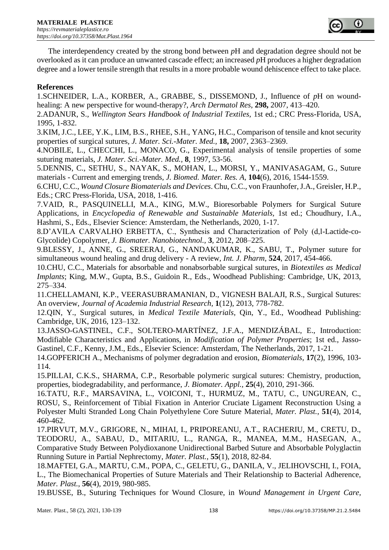

The interdependency created by the strong bond between *p*H and degradation degree should not be overlooked as it can produce an unwanted cascade effect; an increased *p*H produces a higher degradation degree and a lower tensile strength that results in a more probable wound dehiscence effect to take place.

#### **References**

1.SCHNEIDER, L.A., KORBER, A., GRABBE, S., DISSEMOND, J., Influence of *p*H on woundhealing: A new perspective for wound-therapy?, *Arch Dermatol Res,* **298,** 2007, 413–420.

2.ADANUR, S., *Wellington Sears Handbook of Industrial Textiles,* 1st ed.; CRC Press-Florida, USA, 1995, 1-832.

3.KIM, J.C., LEE, Y.K., LIM, B.S., RHEE, S.H., YANG, H.C., Comparison of tensile and knot security properties of surgical sutures*, J. Mater. Sci.-Mater. Med.,* **18,** 2007, 2363–2369.

4.NOBILE, L., CHECCHI, L., MONACO, G., Experimental analysis of tensile properties of some suturing materials, *J. Mater. Sci.-Mater. Med.,* **8**, 1997, 53-56.

5.DENNIS, C., SETHU, S., NAYAK, S., MOHAN, L., MORSI, Y., MANIVASAGAM, G., Suture materials - Current and emerging trends, *J. Biomed. Mater. Res. A,* **104**(6), 2016, 1544-1559.

6.CHU, C.C., *Wound Closure Biomaterials and Devices*. Chu, C.C., von Fraunhofer, J.A., Greisler, H.P., Eds.; CRC Press-Florida, USA, 2018, 1-416.

7.VAID, R., PASQUINELLI, M.A., KING, M.W., Bioresorbable Polymers for Surgical Suture Applications, in *Encyclopedia of Renewable and Sustainable Materials,* 1st ed.; Choudhury, I.A., Hashmi, S., Eds., Elsevier Science: Amsterdam, the Netherlands, 2020, 1-17.

8.D'AVILA CARVALHO ERBETTA, C., Synthesis and Characterization of Poly (d,l-Lactide-co-Glycolide) Copolymer, *J. Biomater. Nanobiotechnol.,* **3***,* 2012, 208–225.

9.BLESSY, J., ANNE, G., SREERAJ, G., NANDAKUMAR, K., SABU, T., Polymer suture for simultaneous wound healing and drug delivery - A review, *Int. J. Pharm,* **524**, 2017, 454-466.

10.CHU, C.C., Materials for absorbable and nonabsorbable surgical sutures, in *Biotextiles as Medical Implants*; King, M.W., Gupta, B.S., Guidoin R., Eds., Woodhead Publishing: Cambridge, UK, 2013, 275–334.

11.CHELLAMANI, K.P., VEERASUBRAMANIAN, D., VIGNESH BALAJI, R.S., Surgical Sutures: An overview, *Journal of Academia Industrial Research,* **1**(12), 2013, 778-782.

12.QIN, Y., Surgical sutures, in *Medical Textile Materials*, Qin, Y., Ed., Woodhead Publishing: Cambridge, UK, 2016, 123–132.

13.JASSO-GASTINEL, C.F., SOLTERO-MARTÍNEZ, J.F.A., MENDIZÁBAL, E., Introduction: Modifiable Characteristics and Applications, in *Modification of Polymer Properties*; 1st ed., Jasso-Gastinel, C.F., Kenny, J.M., Eds., Elsevier Science: Amsterdam, The Netherlands, 2017, 1-21.

14.GOPFERICH A., Mechanisms of polymer degradation and erosion, *Biomaterials,* **17**(2), 1996, 103- 114.

15.PILLAI, C.K.S., SHARMA, C.P., Resorbable polymeric surgical sutures: Chemistry, production, properties, biodegradability, and performance, *J. Biomater. Appl.,* **25**(4), 2010, 291-366.

16.TATU, R.F., MARSAVINA, L., VOICONI, T., HURMUZ, M., TATU, C., UNGUREAN, C., ROSU, S., Reinforcement of Tibial Fixation in Anterior Cruciate Ligament Reconstruction Using a Polyester Multi Stranded Long Chain Polyethylene Core Suture Material, *Mater. Plast.*, **51**(4), 2014, 460-462.

17.PIRVUT, M.V., GRIGORE, N., MIHAI, I., PRIPOREANU, A.T., RACHERIU, M., CRETU, D., TEODORU, A., SABAU, D., MITARIU, L., RANGA, R., MANEA, M.M., HASEGAN, A., Comparative Study Between Polydioxanone Unidirectional Barbed Suture and Absorbable Polyglactin Running Suture in Partial Nephrectomy, *Mater. Plast.*, **55**(1), 2018, 82-84.

18.MAFTEI, G.A., MARTU, C.M., POPA, C., GELETU, G., DANILA, V., JELIHOVSCHI, I., FOIA, L., The Biomechanical Properties of Suture Materials and Their Relationship to Bacterial Adherence, *Mater. Plast.*, **56**(4), 2019, 980-985.

19.BUSSE, B., Suturing Techniques for Wound Closure, in *Wound Management in Urgent Care,*